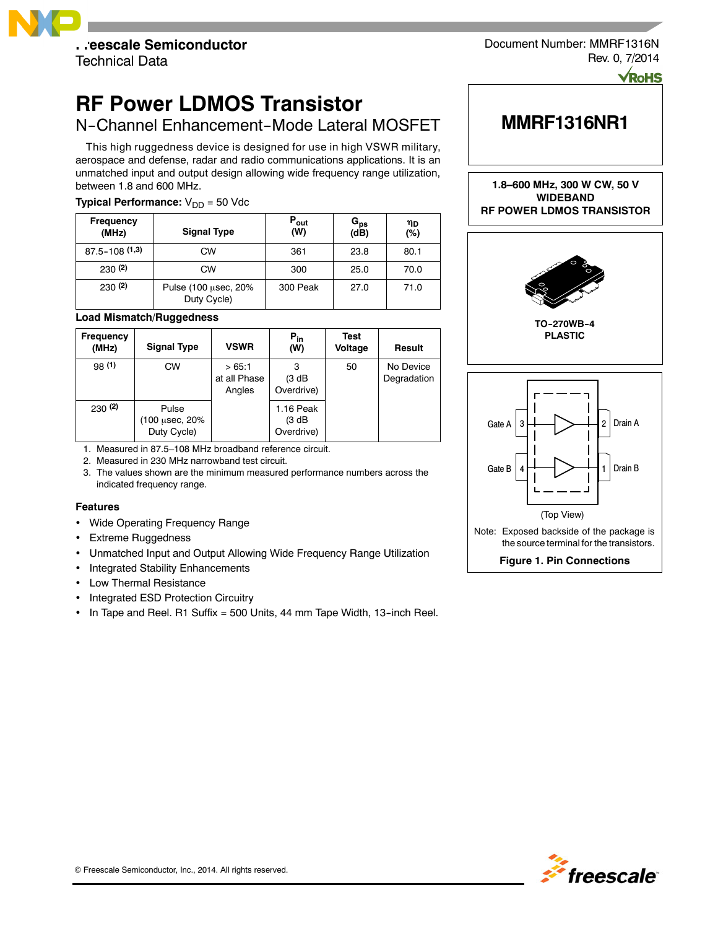

Document Number: MMRF1316N Rev. 0, 7/2014

Dolle

# **RF Power LDMOS Transistor**

## N-Channel Enhancement-Mode Lateral MOSFET

This high ruggedness device is designed for use in high VSWR military, aerospace and defense, radar and radio communications applications. It is an unmatched input and output design allowing wide frequency range utilization, between 1.8 and 600 MHz.

### **Typical Performance:**  $V_{DD} = 50$  Vdc

| <b>Frequency</b><br>(MHz) | <b>Signal Type</b>                  | $P_{\text{out}}$<br>(W) | G <sub>ps</sub><br>(dB) | ηD<br>(%) |
|---------------------------|-------------------------------------|-------------------------|-------------------------|-----------|
| $87.5 - 108(1,3)$         | CW                                  | 361                     | 23.8                    | 80.1      |
| 230(2)                    | <b>CW</b>                           | 300                     | 25.0                    | 70.0      |
| 230(2)                    | Pulse (100 µsec, 20%<br>Duty Cycle) | 300 Peak                | 27.0                    | 71.0      |

### **Load Mismatch/Ruggedness**

| Frequency<br>(MHz) | <b>Signal Type</b>                     | <b>VSWR</b>                     | $P_{in}$<br>(W)                   | Test<br>Voltage | Result                   |
|--------------------|----------------------------------------|---------------------------------|-----------------------------------|-----------------|--------------------------|
| 98(1)              | <b>CW</b>                              | >65:1<br>at all Phase<br>Angles | 3<br>(3 dB<br>Overdrive)          | 50              | No Device<br>Degradation |
| 230(2)             | Pulse<br>(100 μsec, 20%<br>Duty Cycle) |                                 | 1.16 Peak<br>(3 dB)<br>Overdrive) |                 |                          |

1. Measured in 87.5–108 MHz broadband reference circuit.

2. Measured in 230 MHz narrowband test circuit.

3. The values shown are the minimum measured performance numbers across the indicated frequency range.

### **Features**

- Wide Operating Frequency Range
- Extreme Ruggedness
- Unmatched Input and Output Allowing Wide Frequency Range Utilization
- Integrated Stability Enhancements
- Low Thermal Resistance
- Integrated ESD Protection Circuitry
- $\cdot$  In Tape and Reel. R1 Suffix = 500 Units, 44 mm Tape Width, 13-inch Reel.

# **MMRF1316NR1**

**1.8–600 MHz, 300 W CW, 50 V WIDEBAND RF POWER LDMOS TRANSISTOR**



**TO--270WB--4 PLASTIC**





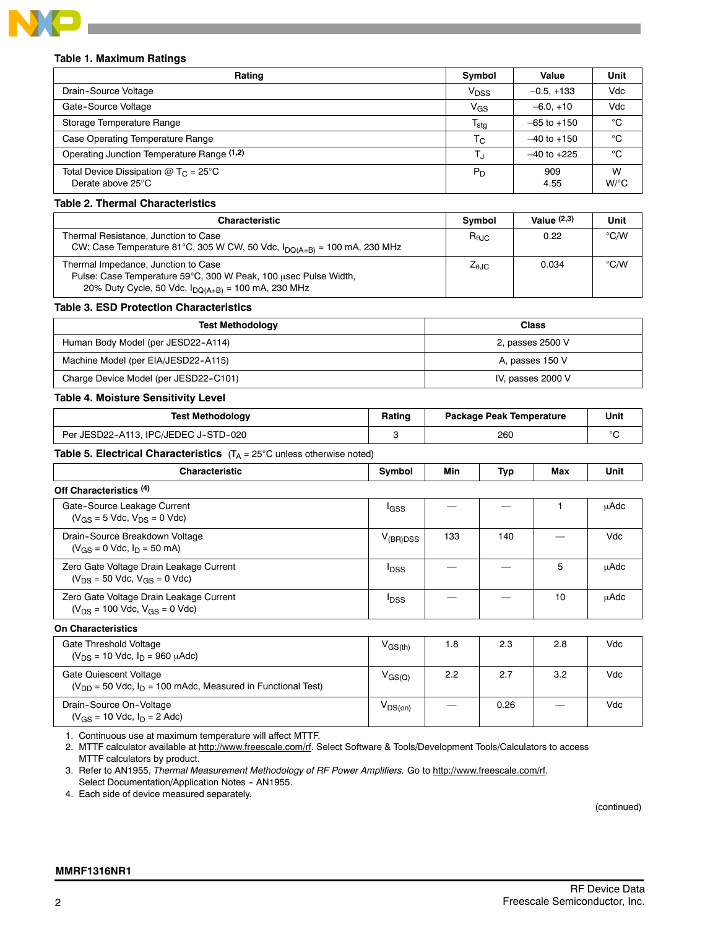

### **Table 1. Maximum Ratings**

| Rating                                                                  | Symbol           | Value           | Unit         |
|-------------------------------------------------------------------------|------------------|-----------------|--------------|
| Drain-Source Voltage                                                    | V <sub>DSS</sub> | $-0.5, +133$    | Vdc          |
| Gate-Source Voltage                                                     | $V_{GS}$         | $-6.0.+10$      | Vdc          |
| Storage Temperature Range                                               | $T_{\sf stg}$    | $-65$ to $+150$ | °C           |
| Case Operating Temperature Range                                        | T <sub>C</sub>   | $-40$ to $+150$ | °C           |
| Operating Junction Temperature Range (1,2)                              | T.ı              | $-40$ to $+225$ | °C           |
| Total Device Dissipation $@$ T <sub>C</sub> = 25°C<br>Derate above 25°C | $P_D$            | 909<br>4.55     | W<br>$W$ /°C |

### **Table 2. Thermal Characteristics**

| <b>Characteristic</b>                                                                                                                                             | <b>Symbol</b>          | Value $(2,3)$ | Unit          |
|-------------------------------------------------------------------------------------------------------------------------------------------------------------------|------------------------|---------------|---------------|
| Thermal Resistance, Junction to Case<br>CW: Case Temperature 81°C, 305 W CW, 50 Vdc, $I_{DQ(A+B)} = 100$ mA, 230 MHz                                              | $R_{\theta \text{JC}}$ | 0.22          | $\degree$ C/W |
| Thermal Impedance, Junction to Case<br>Pulse: Case Temperature 59°C, 300 W Peak, 100 usec Pulse Width,<br>20% Duty Cycle, 50 Vdc, $I_{DQ(A+B)} = 100$ mA, 230 MHz | $Z_{\theta \text{JC}}$ | 0.034         | $\degree$ C/W |

### **Table 3. ESD Protection Characteristics**

| <b>Test Methodology</b>               | <b>Class</b>      |
|---------------------------------------|-------------------|
| Human Body Model (per JESD22-A114)    | 2, passes 2500 V  |
| Machine Model (per EIA/JESD22-A115)   | A, passes 150 V   |
| Charge Device Model (per JESD22-C101) | IV, passes 2000 V |

### **Table 4. Moisture Sensitivity Level**

| <b>Test Methodology</b>              | Rating | <b>Package Peak Temperature</b> | Unit |
|--------------------------------------|--------|---------------------------------|------|
| Per JESD22-A113. IPC/JEDEC J-STD-020 |        | 260                             |      |

**Table 5. Electrical Characteristics** (T<sub>A</sub> = 25°C unless otherwise noted)

| <b>Characteristic</b>                                                             | Symbol                  | Min | Typ | Max | Unit        |
|-----------------------------------------------------------------------------------|-------------------------|-----|-----|-----|-------------|
| Off Characteristics (4)                                                           |                         |     |     |     |             |
| Gate-Source Leakage Current<br>$(V_{GS} = 5$ Vdc, $V_{DS} = 0$ Vdc)               | lgss                    |     |     |     | μAdc        |
| Drain-Source Breakdown Voltage<br>$(V_{GS} = 0$ Vdc, $I_D = 50$ mA)               | $V_{(BR)DSS}$           | 133 | 140 |     | Vdc         |
| Zero Gate Voltage Drain Leakage Current<br>$(V_{DS} = 50$ Vdc, $V_{GS} = 0$ Vdc)  | <b>I</b> <sub>DSS</sub> |     |     | 5   | <b>µAdc</b> |
| Zero Gate Voltage Drain Leakage Current<br>$(V_{DS} = 100$ Vdc, $V_{GS} = 0$ Vdc) | <b>I</b> DSS            |     |     | 10  | <b>µAdc</b> |
| <b>On Characteristics</b>                                                         |                         |     |     |     |             |
| Gate Threshold Voltage<br>$(V_{DS} = 10$ Vdc, $I_D = 960$ $\mu$ Adc)              | $V_{\rm GS(th)}$        | 1.8 | 2.3 | 2.8 | Vdc         |
| Gate Quiescent Voltage                                                            | $V_{GS(Q)}$             | 2.2 | 2.7 | 3.2 | Vdc         |

1. Continuous use at maximum temperature will affect MTTF.

( $V_{DD}$  = 50 Vdc,  $I_D$  = 100 mAdc, Measured in Functional Test)

2. MTTF calculator available at http://www.freescale.com/rf. Select Software & Tools/Development Tools/Calculators to access

MTTF calculators by product. 3. Refer to AN1955, *Thermal Measurement Methodology of RF Power Amplifiers.* Go to http://www.freescale.com/rf.

Select Documentation/Application Notes - AN1955.

4. Each side of device measured separately.

(continued)

Drain-Source On-Voltage  $(V_{GS} = 10$  Vdc,  $I_D = 2$  Adc)  $V_{DS(on)}$   $\begin{vmatrix} - & 0.26 \end{vmatrix}$   $\begin{vmatrix} - & 0.26 \end{vmatrix}$   $\begin{vmatrix} - & 0.26 \end{vmatrix}$   $\begin{vmatrix} - & 0.26 \end{vmatrix}$   $\begin{vmatrix} - & 0.26 \end{vmatrix}$   $\begin{vmatrix} - & 0.26 \end{vmatrix}$   $\begin{vmatrix} - & 0.26 \end{vmatrix}$   $\begin{vmatrix} 0 & 0.26 \end{vmatrix}$   $\begin{vmatrix} 0 & 0.26 \end{vmatrix}$   $\begin{vmatrix} 0 & 0$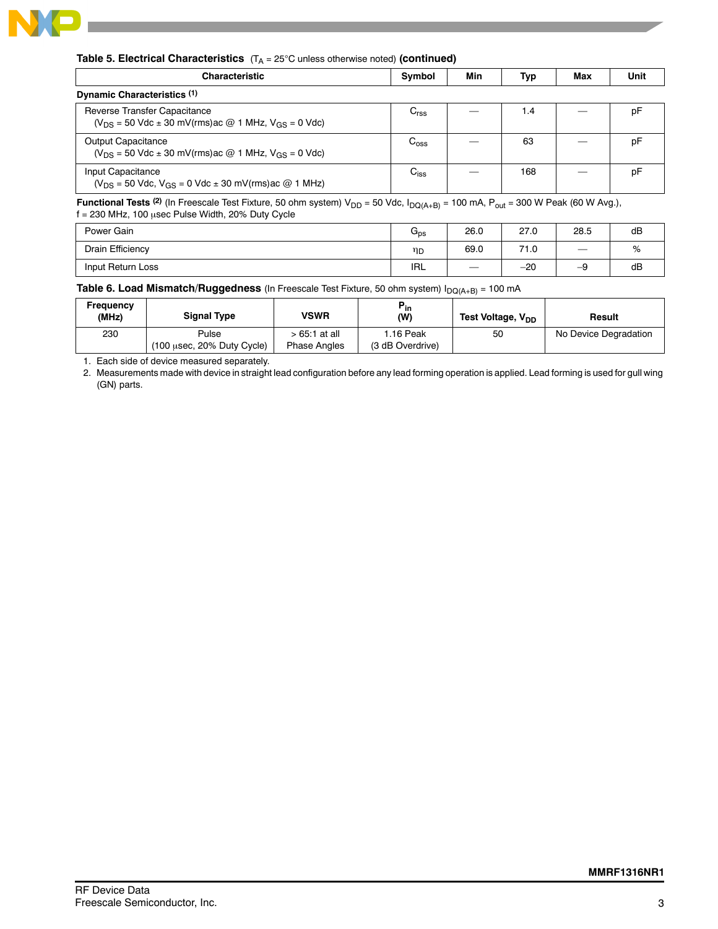

### **Table 5. Electrical Characteristics** (T<sub>A</sub> = 25°C unless otherwise noted) (continued)

| <b>Characteristic</b>                                                                             | Symbol           | Min | Typ | Max | Unit |
|---------------------------------------------------------------------------------------------------|------------------|-----|-----|-----|------|
| Dynamic Characteristics (1)                                                                       |                  |     |     |     |      |
| Reverse Transfer Capacitance<br>$(V_{DS} = 50$ Vdc $\pm$ 30 mV(rms) ac @ 1 MHz, $V_{GS} = 0$ Vdc) | $C_{\rm rss}$    |     | 1.4 |     | p⊦   |
| <b>Output Capacitance</b><br>$(V_{DS} = 50$ Vdc $\pm$ 30 mV(rms) ac @ 1 MHz, $V_{GS} = 0$ Vdc)    | $C_{\text{oss}}$ |     | 63  |     | рF   |
| Input Capacitance<br>$(V_{DS} = 50$ Vdc, $V_{GS} = 0$ Vdc $\pm$ 30 mV(rms) ac @ 1 MHz)            | $C_{iss}$        |     | 168 |     | рF   |

**Functional Tests** <sup>(2)</sup> (In Freescale Test Fixture, 50 ohm system) V<sub>DD</sub> = 50 Vdc, I<sub>DQ(A+B)</sub> = 100 mA, P<sub>out</sub> = 300 W Peak (60 W Avg.),  $f = 230$  MHz, 100  $\mu$ sec Pulse Width, 20% Duty Cycle

| Power Gain        | psا        | 26.0              | 27.0  | 28.5                     | dB |
|-------------------|------------|-------------------|-------|--------------------------|----|
| Drain Efficiency  | ηD         | 69.0              | 71.0  | $\overline{\phantom{m}}$ | %  |
| Input Return Loss | <b>IRL</b> | $\hspace{0.05cm}$ | $-20$ | -9                       | dB |

### **Table 6. Load Mismatch/Ruggedness** (In Freescale Test Fixture, 50 ohm system) I<sub>DQ(A+B)</sub> = 100 mA

| Freauencv<br>(MHz) | <b>Signal Type</b>                                     | VSWR                                 | ້in<br>(W)                    | Test Voltage, V <sub>DD</sub> | Result                |
|--------------------|--------------------------------------------------------|--------------------------------------|-------------------------------|-------------------------------|-----------------------|
| 230                | Pulse<br>$(100 \text{ usec}, 20\% \text{ Duty Cycle})$ | > 65:1 at all<br><b>Phase Angles</b> | I.16 Peak<br>(3 dB Overdrive) | 50                            | No Device Degradation |

1. Each side of device measured separately.

2. Measurements made with device in straight lead configuration before any lead forming operation is applied. Lead forming is used for gull wing (GN) parts.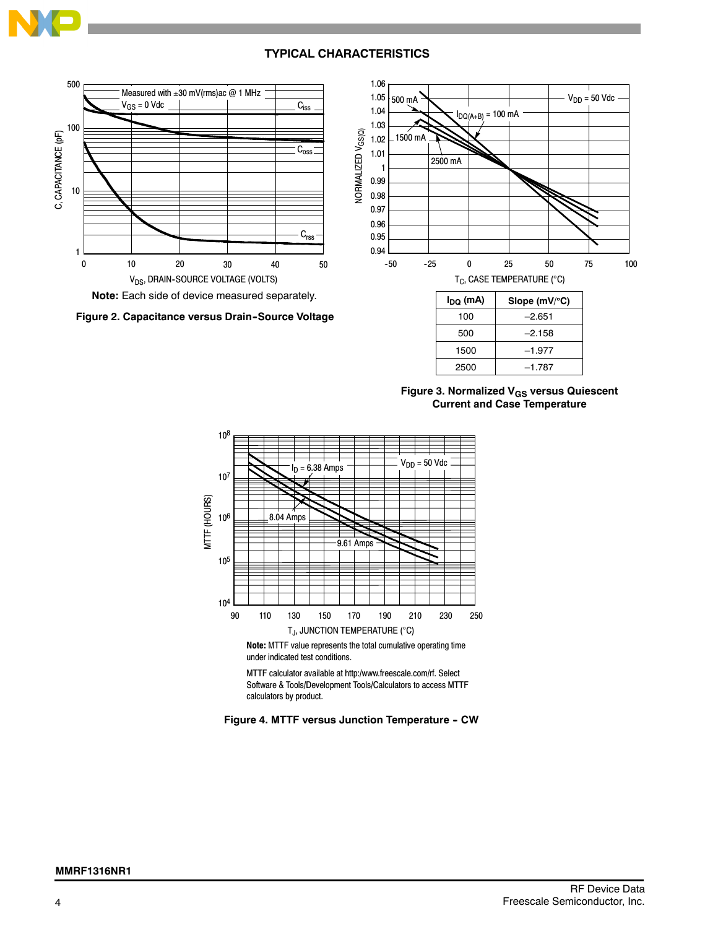



**Figure 3. Normalized V<sub>GS</sub> versus Quiescent Current and Case Temperature**

2500 –1.787



**Note:** MTTF value represents the total cumulative operating time under indicated test conditions.

MTTF calculator available at http:/www.freescale.com/rf. Select Software & Tools/Development Tools/Calculators to access MTTF calculators by product.

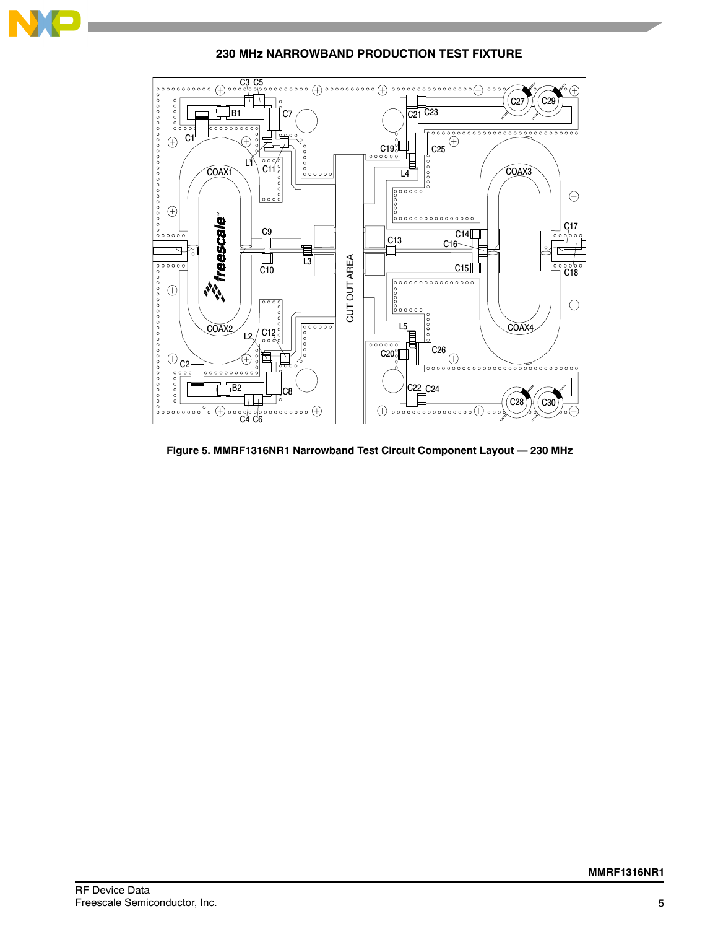

**230 MHz NARROWBAND PRODUCTION TEST FIXTURE**

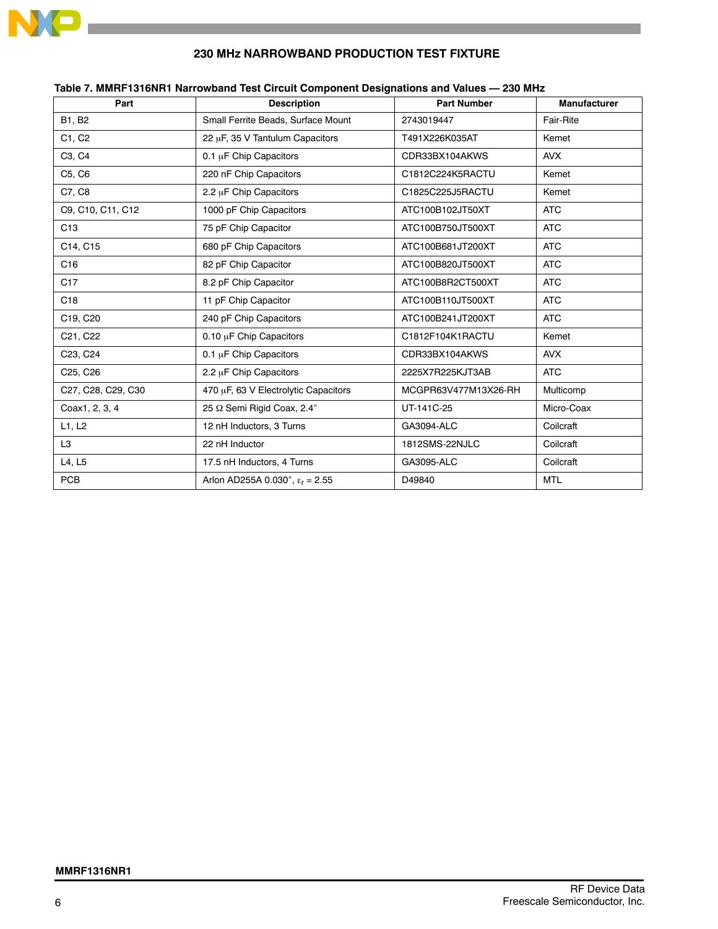

### **230 MHz NARROWBAND PRODUCTION TEST FIXTURE**

| Part                            | <b>Description</b>                       | <b>Part Number</b>   | <b>Manufacturer</b> |
|---------------------------------|------------------------------------------|----------------------|---------------------|
| B1, B2                          | Small Ferrite Beads, Surface Mount       | 2743019447           | Fair-Rite           |
| C1, C2                          | 22 µF, 35 V Tantulum Capacitors          | T491X226K035AT       | Kemet               |
| C <sub>3</sub> , C <sub>4</sub> | 0.1 µF Chip Capacitors                   | CDR33BX104AKWS       | <b>AVX</b>          |
| C5, C6                          | 220 nF Chip Capacitors                   | C1812C224K5RACTU     | Kemet               |
| C7, C8                          | 2.2 µF Chip Capacitors                   | C1825C225J5RACTU     | Kemet               |
| C9, C10, C11, C12               | 1000 pF Chip Capacitors                  | ATC100B102JT50XT     | <b>ATC</b>          |
| C <sub>13</sub>                 | 75 pF Chip Capacitor                     | ATC100B750JT500XT    | <b>ATC</b>          |
| C14, C15                        | 680 pF Chip Capacitors                   | ATC100B681JT200XT    | <b>ATC</b>          |
| C16                             | 82 pF Chip Capacitor                     | ATC100B820JT500XT    | <b>ATC</b>          |
| C <sub>17</sub>                 | 8.2 pF Chip Capacitor                    | ATC100B8R2CT500XT    | <b>ATC</b>          |
| C <sub>18</sub>                 | 11 pF Chip Capacitor                     | ATC100B110JT500XT    | <b>ATC</b>          |
| C19, C20                        | 240 pF Chip Capacitors                   | ATC100B241JT200XT    | <b>ATC</b>          |
| C21, C22                        | 0.10 µF Chip Capacitors                  | C1812F104K1RACTU     | Kemet               |
| C23, C24                        | 0.1 µF Chip Capacitors                   | CDR33BX104AKWS       | <b>AVX</b>          |
| C25, C26                        | 2.2 µF Chip Capacitors                   | 2225X7R225KJT3AB     | <b>ATC</b>          |
| C27, C28, C29, C30              | 470 µF, 63 V Electrolytic Capacitors     | MCGPR63V477M13X26-RH | Multicomp           |
| Coax1, 2, 3, 4                  | 25 Q Semi Rigid Coax, 2.4"               | UT-141C-25           | Micro-Coax          |
| L1, L2                          | 12 nH Inductors, 3 Turns                 | <b>GA3094-ALC</b>    | Coilcraft           |
| L <sub>3</sub>                  | 22 nH Inductor                           | 1812SMS-22NJLC       | Coilcraft           |
| L4, L5                          | 17.5 nH Inductors, 4 Turns               | <b>GA3095-ALC</b>    | Coilcraft           |
| <b>PCB</b>                      | Arlon AD255A 0.030", $\epsilon_r$ = 2.55 | D49840               | <b>MTL</b>          |

### **Table 7. MMRF1316NR1 Narrowband Test Circuit Component Designations and Values — 230 MHz**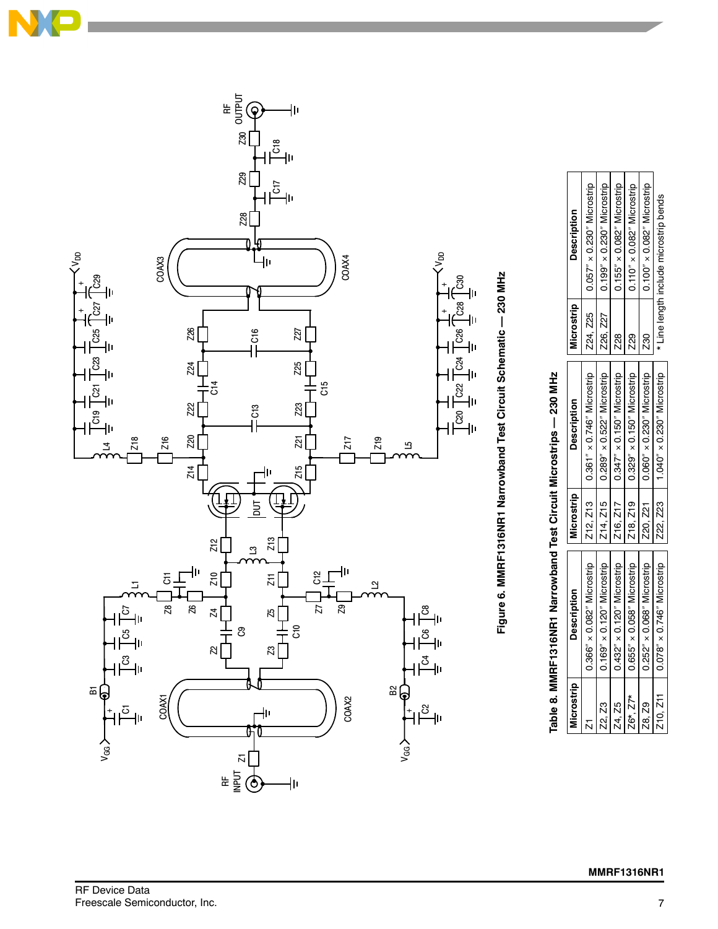





| i<br>I                       |
|------------------------------|
|                              |
| ֞֓֟֓֕׆<br>֢֢֢֢֢֢֪֪֪֦֓֓       |
|                              |
| $\ddot{\phantom{a}}$         |
|                              |
| , in the second condition of |
|                              |
| $\ddot{\phantom{0}}$<br>ī    |

Z24, Z25 0.057 0.230 Microstrip Z26, Z27 0.199 0.230 Microstrip  $Z28$   $\vert$  0.155"  $\times$  0.082" Microstrip Z29 0.110 0.082 Microstrip  $Z30$   $|$  0.100"  $\times$  0.082" Microstrip \* Line length include microstrip bends

 $0.057'' \times 0.230''$  Microstrip  $0.199'' \times 0.230''$  Microstrip  $0.155'' \times 0.082''$  Microstrip  $0.110'' \times 0.082''$  Microstrip  $0.100'' \times 0.082''$  Microstrip

**229** Z30

**Z28** 

\* Line length include microstrip bends

**Description**

**Description** 

**Microstrip**

Microstrip Z24, Z25 **Z26, Z27** 

| Microstrip          | <b>Description</b>                  | Microstrip | <b>Description</b>                         |
|---------------------|-------------------------------------|------------|--------------------------------------------|
|                     | $0.366'' \times 0.082''$ Microstrip |            | Z12, Z13   0.361" x 0.746" Microstrip      |
| Z2, Z3              | $0.169'' \times 0.120''$ Microstrip | 214, 215   | $0.289'' \times 0.522''$ Microstrip        |
| Z4. Z5              | $0.432'' \times 0.120''$ Microstrip | 216, 217   | $\sqrt{0.347'' \times 0.150''}$ Microstrip |
| $26^{*}$ , $27^{*}$ | $0.655'' \times 0.058''$ Microstrip |            | Z18, Z19   0.329" x 0.150" Microstrip      |
| Z8. Z9              | $0.252'' \times 0.068''$ Microstrip | 220, 221   | $0.060'' \times 0.230''$ Microstrip        |
| 210, 211            | $0.078'' \times 0.746''$ Microstrip | Z22, Z23   | 1.040" x 0.230" Microstrip                 |
|                     |                                     |            |                                            |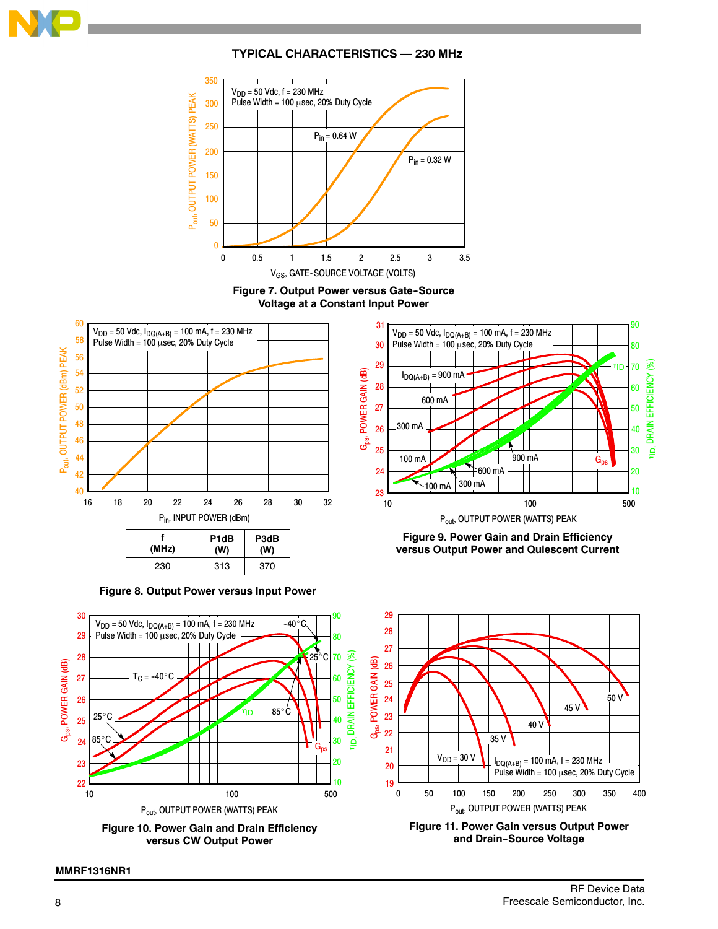

### **TYPICAL CHARACTERISTICS — 230 MHz**



**Figure 7. Output Power versus Gate-Source Voltage at a Constant Input Power**



**Figure 8. Output Power versus Input Power**



**Figure 9. Power Gain and Drain Efficiency versus Output Power and Quiescent Current**



**MMRF1316NR1**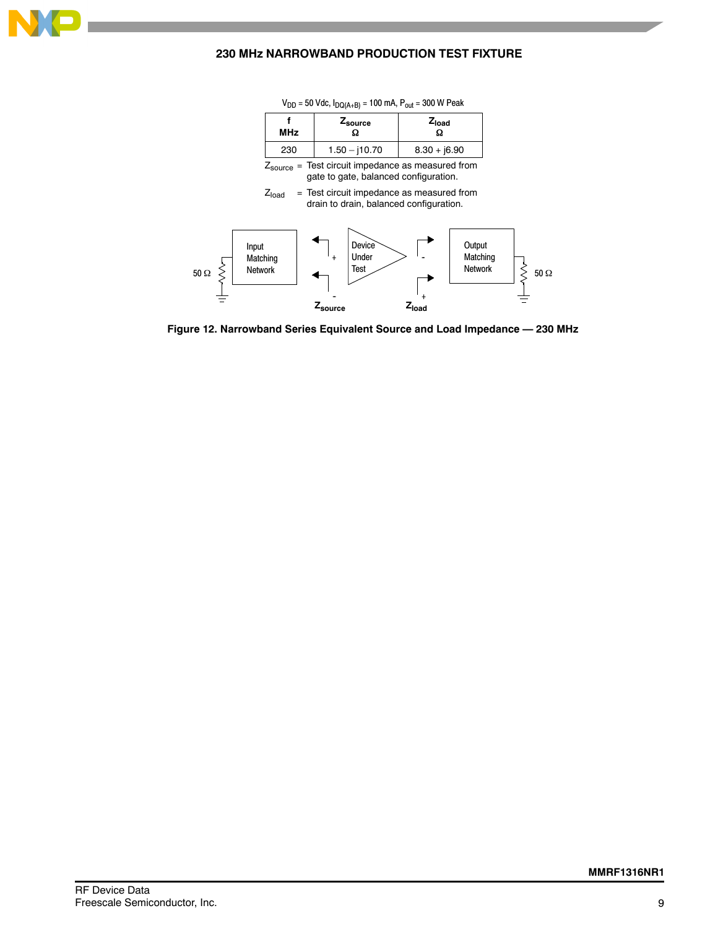

### **230 MHz NARROWBAND PRODUCTION TEST FIXTURE**

| <b>MHz</b> | ⊆source<br>52   | Zload          |
|------------|-----------------|----------------|
| 230        | $1.50 - j10.70$ | $8.30 + j6.90$ |

 $V_{DD}$  = 50 Vdc,  $I_{DQ(A+B)}$  = 100 mA,  $P_{out}$  = 300 W Peak

 $Z_{\text{source}}$  = Test circuit impedance as measured from gate to gate, balanced configuration.

 $Z<sub>load</sub>$  = Test circuit impedance as measured from drain to drain, balanced configuration.



**Figure 12. Narrowband Series Equivalent Source and Load Impedance — 230 MHz**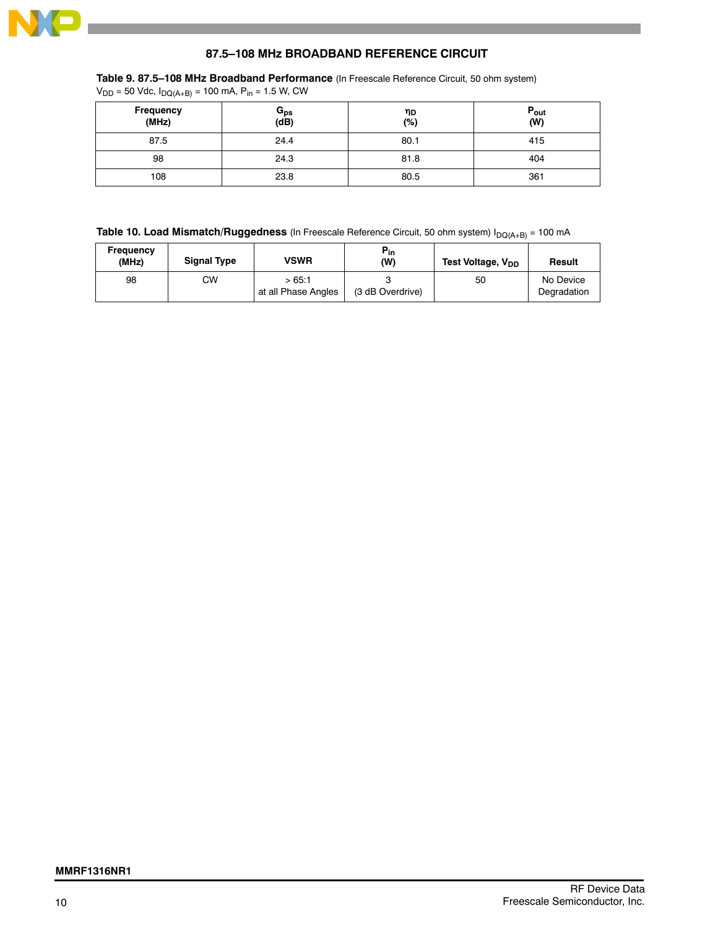

### **87.5–108 MHz BROADBAND REFERENCE CIRCUIT**

**Table 9. 87.5–108 MHz Broadband Performance** (In Freescale Reference Circuit, 50 ohm system)

 $V_{DD}$  = 50 Vdc,  $I_{DQ(A+B)}$  = 100 mA, P<sub>in</sub> = 1.5 W, CW

| Frequency<br>(MHz) | G <sub>ps</sub><br>(dB) | ηD<br>(%) | $P_{\text{out}}$<br>(W) |
|--------------------|-------------------------|-----------|-------------------------|
| 87.5               | 24.4                    | 80.1      | 415                     |
| 98                 | 24.3                    | 81.8      | 404                     |
| 108                | 23.8                    | 80.5      | 361                     |

**Table 10. Load Mismatch/Ruggedness** (In Freescale Reference Circuit, 50 ohm system) I<sub>DQ(A+B)</sub> = 100 mA

| Frequency<br>(MHz) | <b>Signal Type</b> | VSWR                         | $P_{in}$<br>(W)  | Test Voltage, V <sub>DD</sub> | Result                   |
|--------------------|--------------------|------------------------------|------------------|-------------------------------|--------------------------|
| 98                 | СW                 | >65:1<br>at all Phase Angles | (3 dB Overdrive) | 50                            | No Device<br>Degradation |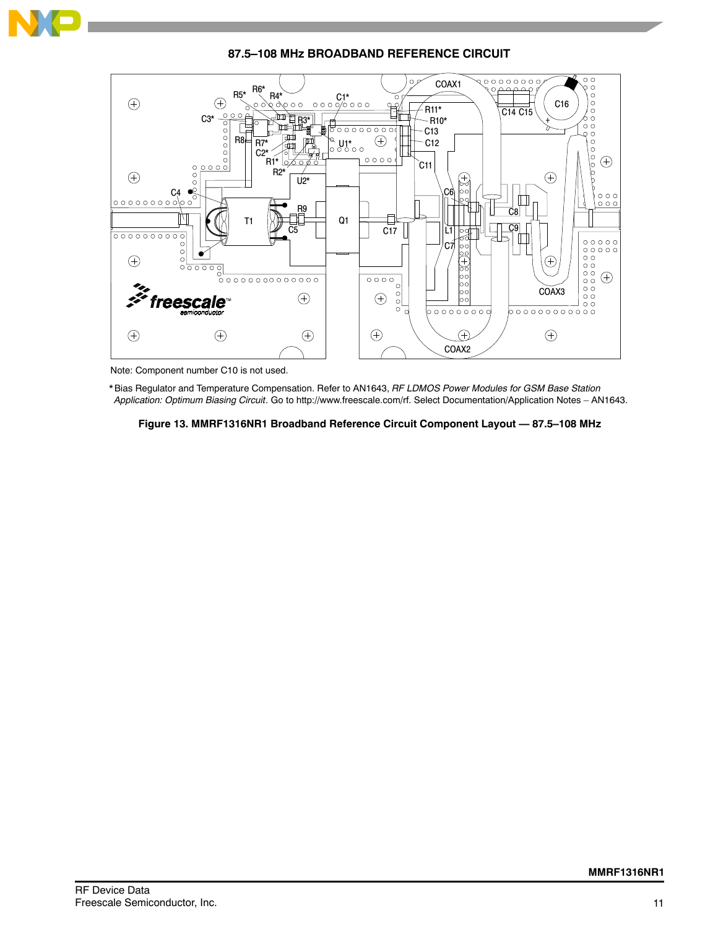

**87.5–108 MHz BROADBAND REFERENCE CIRCUIT**



Note: Component number C10 is not used.

\* Bias Regulator and Temperature Compensation. Refer to AN1643, *RF LDMOS Power Modules for GSM Base Station Application: Optimum Biasing Circuit*. Go to http://www.freescale.com/rf. Select Documentation/Application Notes – AN1643.

**Figure 13. MMRF1316NR1 Broadband Reference Circuit Component Layout — 87.5–108 MHz**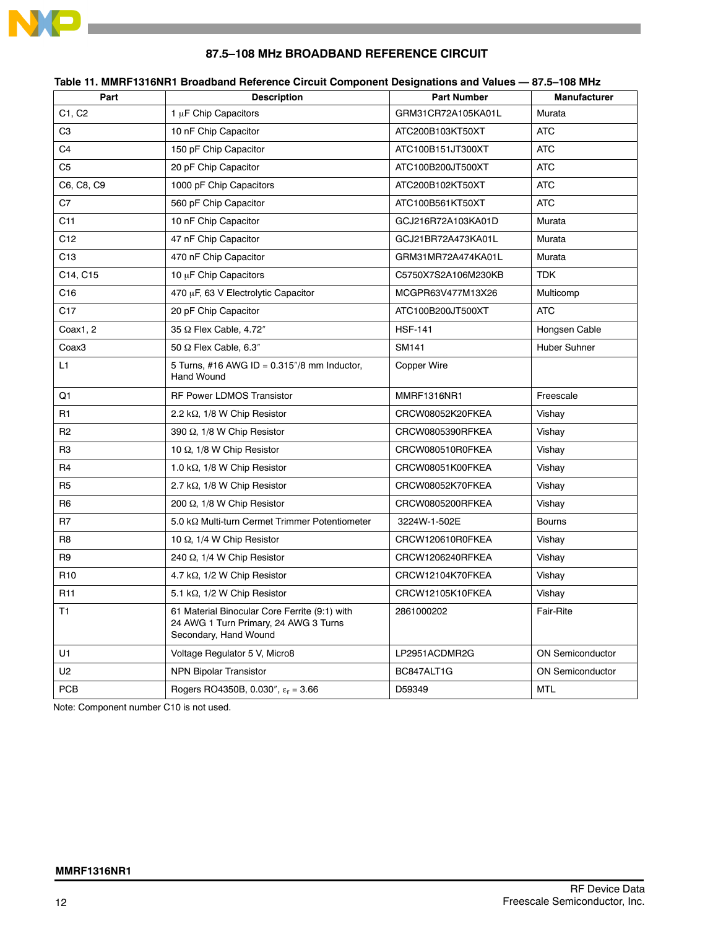

|                   | יייייי סופטואי אווייריה ווייריאליגרייטל אווייריאליגרייטליגרייטליגרייטליגרייטליגרייני                            |                                 |                         |
|-------------------|-----------------------------------------------------------------------------------------------------------------|---------------------------------|-------------------------|
| Part              | <b>Description</b>                                                                                              | <b>Part Number</b>              | <b>Manufacturer</b>     |
| C1, C2            | 1 µF Chip Capacitors                                                                                            | GRM31CR72A105KA01L              | Murata                  |
| C <sub>3</sub>    | 10 nF Chip Capacitor                                                                                            | ATC200B103KT50XT                | <b>ATC</b>              |
| C <sub>4</sub>    | 150 pF Chip Capacitor                                                                                           | ATC100B151JT300XT               | ATC                     |
| C <sub>5</sub>    | 20 pF Chip Capacitor                                                                                            | ATC100B200JT500XT               | <b>ATC</b>              |
| C6, C8, C9        | 1000 pF Chip Capacitors<br>ATC200B102KT50XT                                                                     |                                 | <b>ATC</b>              |
| C7                | 560 pF Chip Capacitor                                                                                           | <b>ATC</b>                      |                         |
| C <sub>11</sub>   | 10 nF Chip Capacitor<br>GCJ216R72A103KA01D                                                                      |                                 | Murata                  |
| C12               | 47 nF Chip Capacitor<br>GCJ21BR72A473KA01L                                                                      |                                 | Murata                  |
| C <sub>13</sub>   | 470 nF Chip Capacitor                                                                                           | GRM31MR72A474KA01L<br>Murata    |                         |
| C14, C15          | 10 µF Chip Capacitors<br>C5750X7S2A106M230KB                                                                    |                                 | <b>TDK</b>              |
| C16               | 470 µF, 63 V Electrolytic Capacitor                                                                             | MCGPR63V477M13X26<br>Multicomp  |                         |
| C <sub>17</sub>   | 20 pF Chip Capacitor                                                                                            | <b>ATC</b><br>ATC100B200JT500XT |                         |
| Coax1, 2          | 35 Ω Flex Cable, 4.72"<br><b>HSF-141</b>                                                                        |                                 | Hongsen Cable           |
| Coax <sub>3</sub> | 50 $\Omega$ Flex Cable, 6.3"<br>SM141                                                                           |                                 | <b>Huber Suhner</b>     |
| L1                | 5 Turns, #16 AWG ID = $0.315$ "/8 mm Inductor,<br><b>Hand Wound</b>                                             | Copper Wire                     |                         |
| Q1                | <b>RF Power LDMOS Transistor</b>                                                                                | MMRF1316NR1                     | Freescale               |
| R1                | 2.2 k $\Omega$ , 1/8 W Chip Resistor                                                                            | CRCW08052K20FKEA                | Vishay                  |
| R <sub>2</sub>    | 390 Ω, 1/8 W Chip Resistor                                                                                      | CRCW0805390RFKEA                | Vishay                  |
| R <sub>3</sub>    | 10 $\Omega$ , 1/8 W Chip Resistor                                                                               | CRCW080510R0FKEA                | Vishay                  |
| R <sub>4</sub>    | 1.0 k $\Omega$ , 1/8 W Chip Resistor                                                                            | CRCW08051K00FKEA                | Vishay                  |
| R <sub>5</sub>    | 2.7 k $\Omega$ , 1/8 W Chip Resistor                                                                            | CRCW08052K70FKEA<br>Vishay      |                         |
| R6                | 200 $\Omega$ , 1/8 W Chip Resistor                                                                              | CRCW0805200RFKEA                | Vishay                  |
| R <sub>7</sub>    | 5.0 kΩ Multi-turn Cermet Trimmer Potentiometer                                                                  | 3224W-1-502E                    | <b>Bourns</b>           |
| R <sub>8</sub>    | 10 $\Omega$ , 1/4 W Chip Resistor                                                                               | CRCW120610R0FKEA                | Vishay                  |
| R <sub>9</sub>    | 240 $\Omega$ , 1/4 W Chip Resistor                                                                              | CRCW1206240RFKEA                | Vishay                  |
| R <sub>10</sub>   | 4.7 k $\Omega$ , 1/2 W Chip Resistor                                                                            | CRCW12104K70FKEA                | Vishay                  |
| R <sub>11</sub>   | 5.1 k $\Omega$ , 1/2 W Chip Resistor                                                                            | CRCW12105K10FKEA                | Vishay                  |
| T1                | 61 Material Binocular Core Ferrite (9:1) with<br>24 AWG 1 Turn Primary, 24 AWG 3 Turns<br>Secondary, Hand Wound | 2861000202                      | <b>Fair-Rite</b>        |
| U1                | Voltage Regulator 5 V, Micro8                                                                                   | LP2951ACDMR2G                   | <b>ON Semiconductor</b> |
| U <sub>2</sub>    | <b>NPN Bipolar Transistor</b>                                                                                   | BC847ALT1G                      | <b>ON Semiconductor</b> |
| PCB               | Rogers RO4350B, 0.030", $\epsilon_r$ = 3.66                                                                     | D59349                          | <b>MTL</b>              |

### **87.5–108 MHz BROADBAND REFERENCE CIRCUIT**

**Table 11. MMRF1316NR1 Broadband Reference Circuit Component Designations and Values — 87.5–108 MHz**

Note: Component number C10 is not used.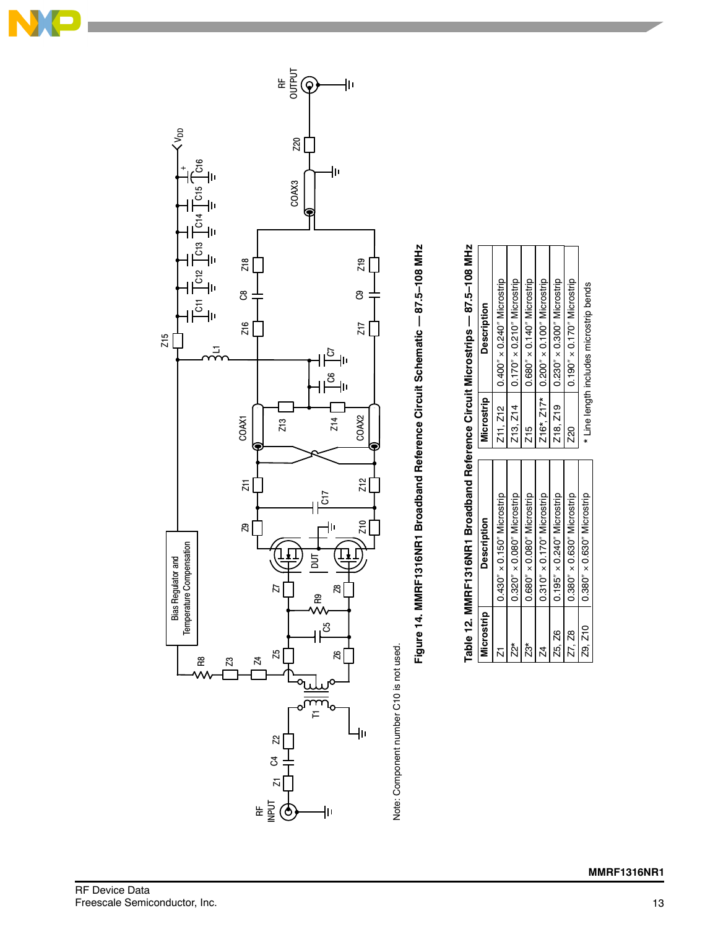



Note: Component number C10 is not used. Note: Component number C10 is not used.

Figure 14. MMRF1316NR1 Broadband Reference Circuit Schematic -- 87.5-108 MHz **Figure 14. MMRF1316NR1 Broadband Reference Circuit Schematic — 87.5–108 MHz**

| Microstrip              | <b>Description</b>                  | Microstrip | <b>Description</b>                      |
|-------------------------|-------------------------------------|------------|-----------------------------------------|
| $\bar{\mathcal{K}}$     | $0.430'' \times 0.150''$ Microstrip |            | Z11, Z12   0.400" x 0.240" Microstrip   |
| $\stackrel{*}{\approx}$ | $0.320'' \times 0.080''$ Microstrip |            | Z13, Z14   0.170" x 0.210" Microstrip   |
| $\overline{23}^*$       | $0.680'' \times 0.080''$ Microstrip | Z15        | $0.680'' \times 0.140''$ Microstrip     |
| $\overline{z}$          | $0.310'' \times 0.170''$ Microstrip |            | Z16* Z17*   0.200" × 0.100" Microstrip  |
| Z5. Z6                  | $0.195'' \times 0.240''$ Microstrip |            | Z18, Z19   0.230" x 0.300" Microstrip   |
| Z7, Z8                  | $0.380'' \times 0.630''$ Microstrip | Z20        | $0.190'' \times 0.170''$ Microstrip     |
| Z9, Z10                 | $0.380'' \times 0.630''$ Microstrip |            | * Line length includes microstrip bends |
|                         |                                     |            |                                         |

# Table 12. MMRF1316NR1 Broadband Reference Circuit Microstrips -- 87.5-108 MHz **Table 12. MMRF1316NR1 Broadband Reference Circuit Microstrips — 87.5–108 MHz**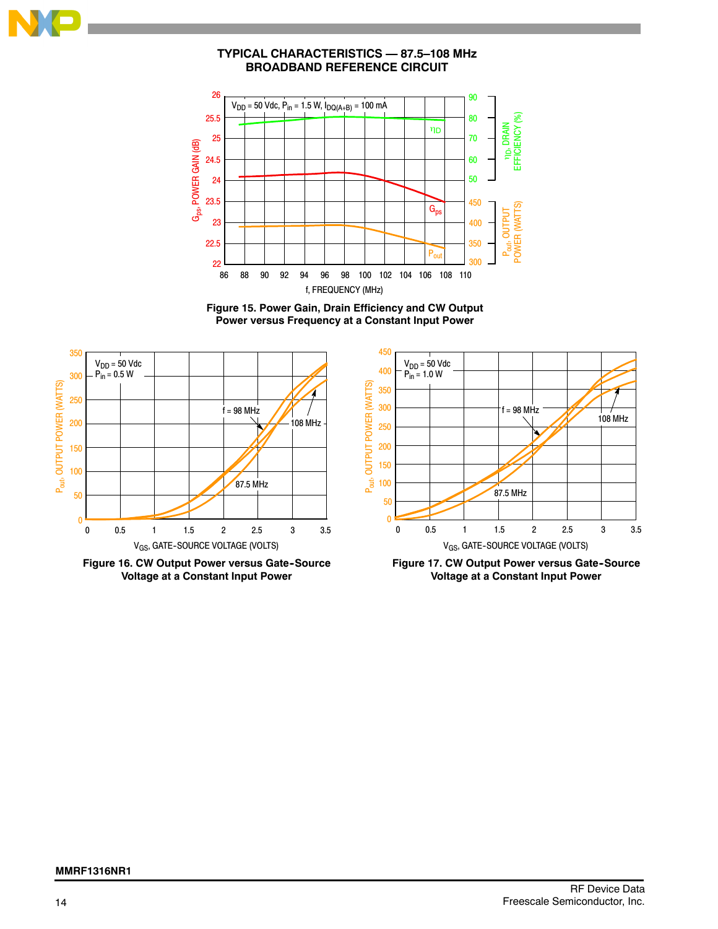

### **TYPICAL CHARACTERISTICS — 87.5–108 MHz BROADBAND REFERENCE CIRCUIT**







**Figure 16. CW Output Power versus Gate--Source Voltage at a Constant Input Power**



**Figure 17. CW Output Power versus Gate--Source Voltage at a Constant Input Power**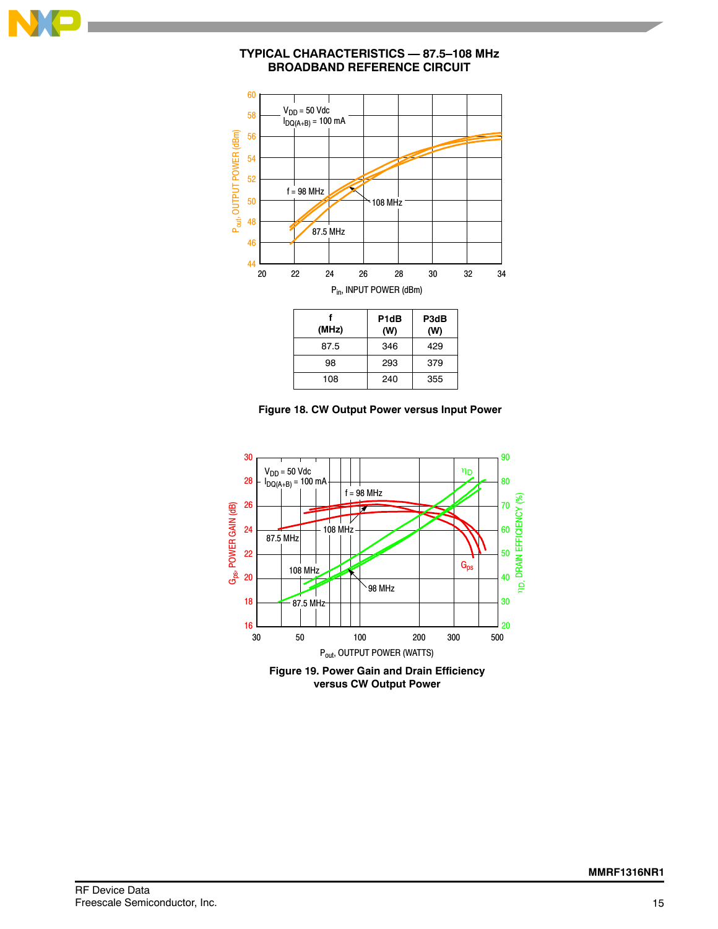

### **TYPICAL CHARACTERISTICS — 87.5–108 MHz BROADBAND REFERENCE CIRCUIT**





240

355

108



**Figure 19. Power Gain and Drain Efficiency versus CW Output Power**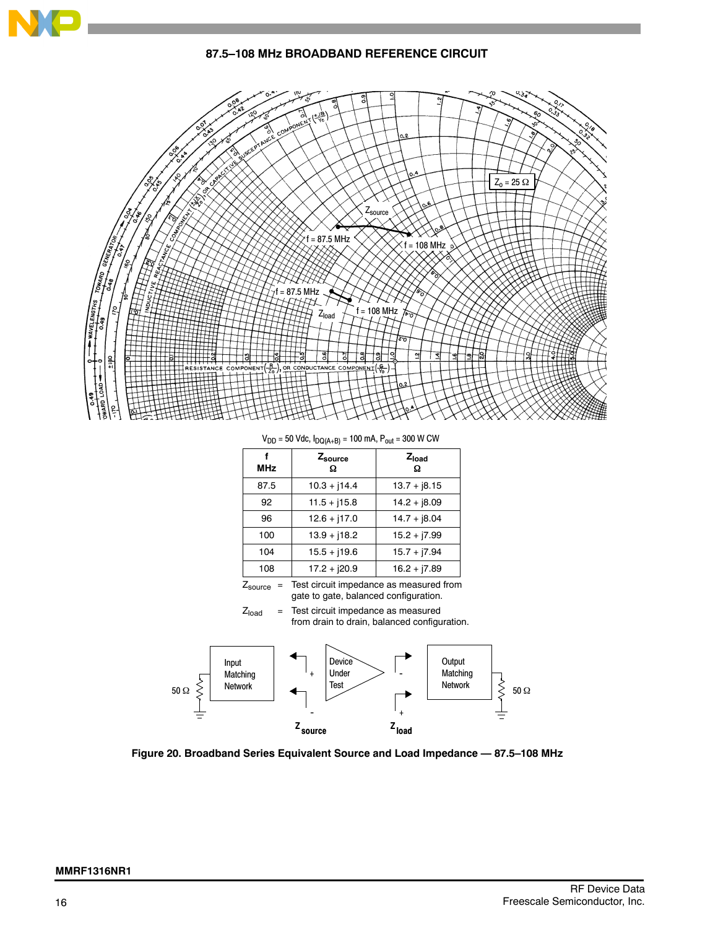

### **87.5–108 MHz BROADBAND REFERENCE CIRCUIT**



 $V_{DD}$  = 50 Vdc,  $I_{DQ(A+B)}$  = 100 mA,  $P_{out}$  = 300 W CW

| <b>MHz</b> | Zsource<br>Ω   | Z <sub>load</sub><br>Ω |
|------------|----------------|------------------------|
| 87.5       | $10.3 + j14.4$ | $13.7 + j8.15$         |
| 92         | $11.5 + j15.8$ | $14.2 + j8.09$         |
| 96         | $12.6 + j17.0$ | $14.7 + j8.04$         |
| 100        | $13.9 + i18.2$ | $15.2 + 17.99$         |
| 104        | $15.5 + j19.6$ | $15.7 + 17.94$         |
| 108        | $17.2 + j20.9$ | $16.2 + 17.89$         |

Zsource = Test circuit impedance as measured from gate to gate, balanced configuration.

 $Z<sub>load</sub>$  = Test circuit impedance as measured from drain to drain, balanced configuration.



**Figure 20. Broadband Series Equivalent Source and Load Impedance — 87.5–108 MHz**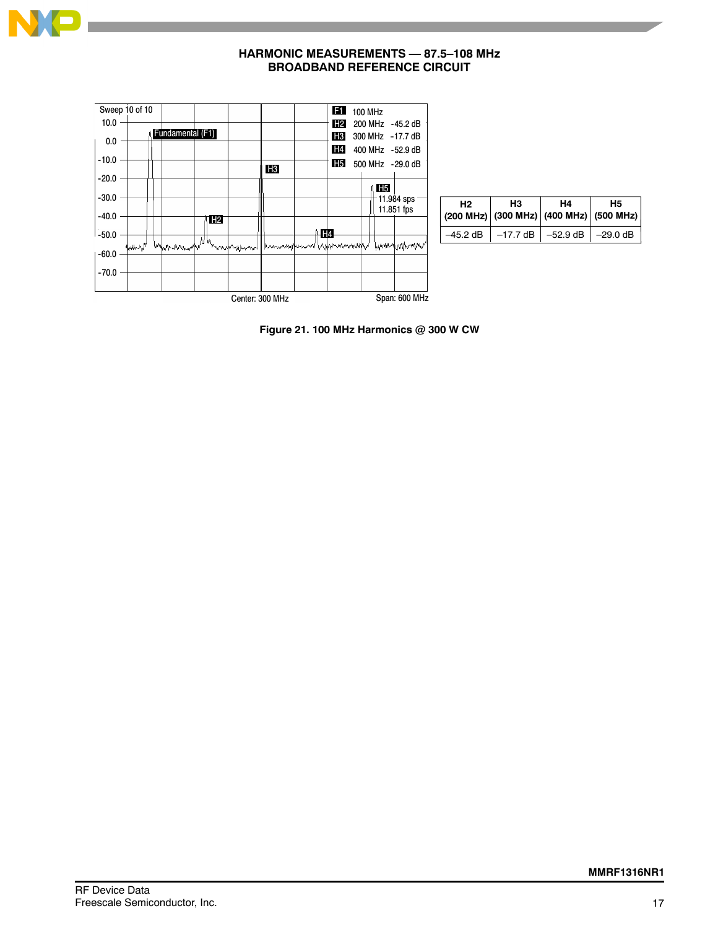

### **HARMONIC MEASUREMENTS — 87.5–108 MHz BROADBAND REFERENCE CIRCUIT**



| H <sub>2</sub> | H <sub>3</sub><br>$(200 \text{ MHz})$ (300 MHz) (400 MHz) (500 MHz) | H <sub>4</sub> | <b>H5</b> |
|----------------|---------------------------------------------------------------------|----------------|-----------|
|                | $-45.2$ dB $-17.7$ dB $-52.9$ dB $-29.0$ dB                         |                |           |

**Figure 21. 100 MHz Harmonics @ 300 W CW**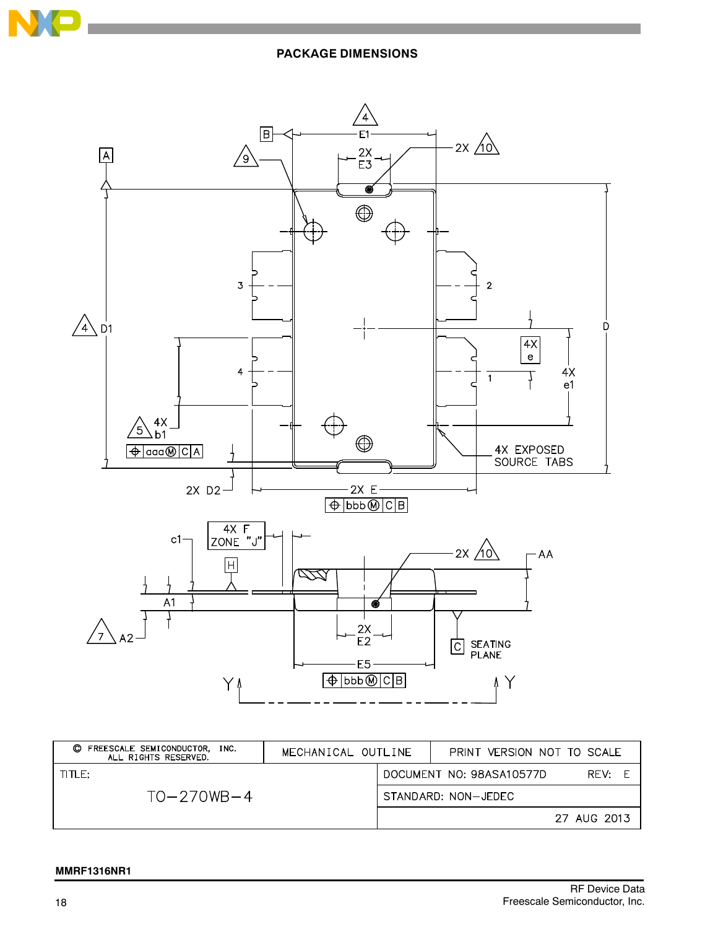

### **PACKAGE DIMENSIONS**



| FREESCALE SEMICONDUCTOR. INC.<br>O<br>ALL RIGHTS RESERVED. | MECHANICAL OUTLINE | PRINT VERSION NOT TO SCALE       |
|------------------------------------------------------------|--------------------|----------------------------------|
| TITI E:                                                    |                    | DOCUMENT NO: 98ASA10577D<br>RFV: |
| $TO - 270WB - 4$                                           |                    | STANDARD: NON-JEDEC              |
|                                                            |                    | 27 AUG 2013                      |

### **MMRF1316NR1**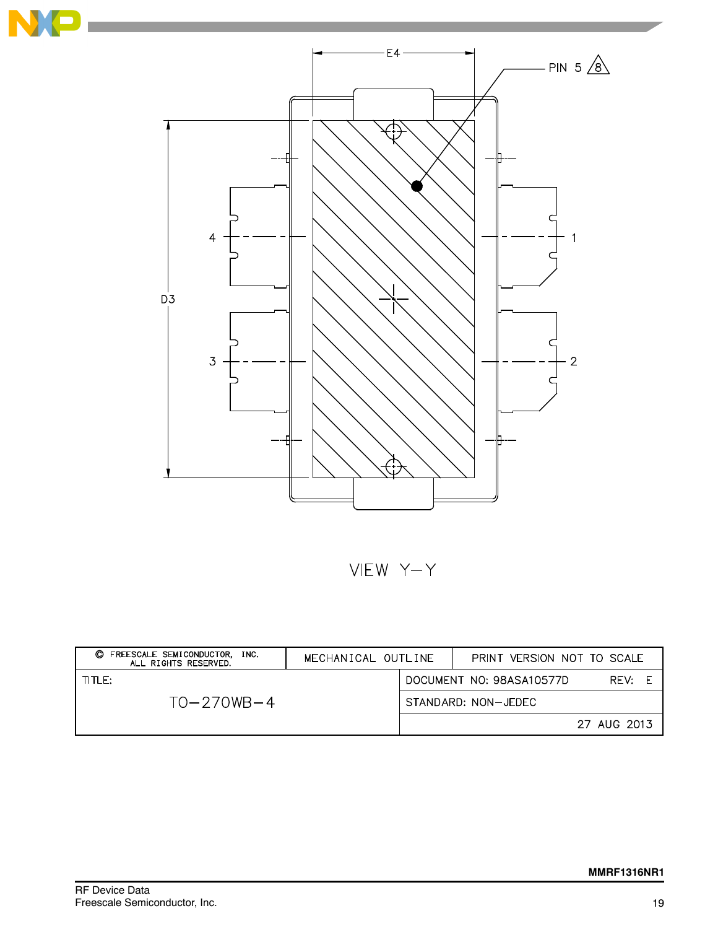

VIEW Y-Y

| FREESCALE SEMICONDUCTOR. INC.<br>O<br>ALL RIGHTS RESERVED. | MECHANICAL OUTLINE | PRINT VERSION NOT TO SCALE |             |
|------------------------------------------------------------|--------------------|----------------------------|-------------|
| TITLE:                                                     |                    | DOCUMENT NO: 98ASA10577D   | RFV:        |
| $TO - 270WB - 4$                                           |                    | STANDARD: NON-JEDEC        |             |
|                                                            |                    |                            | 27 AUG 2013 |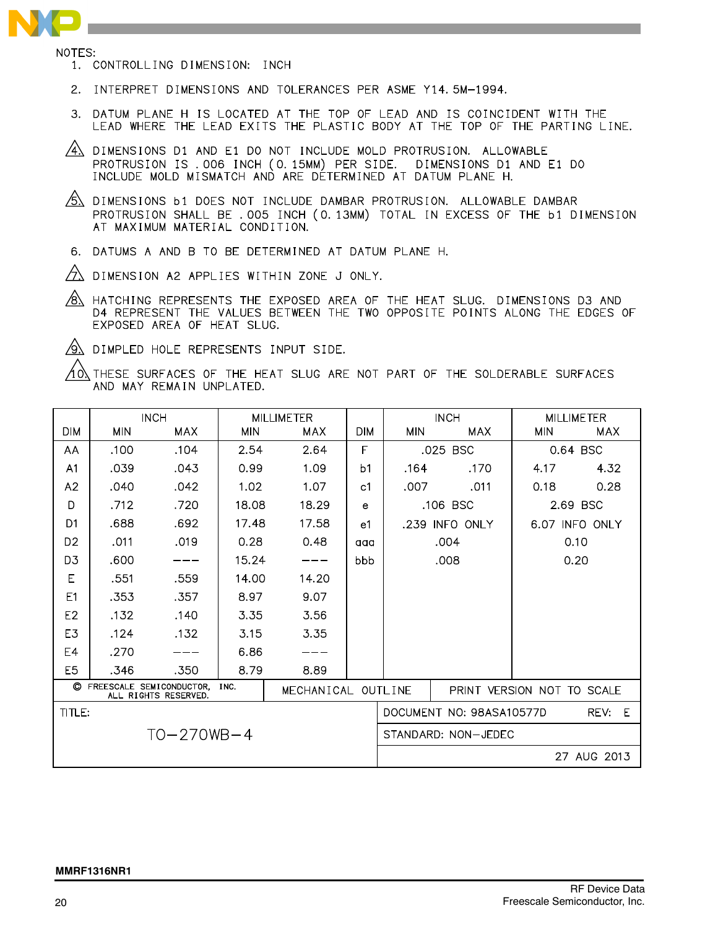- NOTES:
	- 1. CONTROLLING DIMENSION: INCH
	- 2. INTERPRET DIMENSIONS AND TOLERANCES PER ASME Y14.5M-1994.
	- 3. DATUM PLANE H IS LOCATED AT THE TOP OF LEAD AND IS COINCIDENT WITH THE LEAD WHERE THE LEAD EXITS THE PLASTIC BODY AT THE TOP OF THE PARTING LINE.
	- $\sqrt{4}$  dimensions D1 and E1 D0 NOT INCLUDE MOLD PROTRUSION. ALLOWABLE PROTRUSION IS .006 INCH (0.15MM) PER SIDE. DIMENSIONS D1 AND E1 D0 INCLUDE MOLD MISMATCH AND ARE DETERMINED AT DATUM PLANE H.
	- $\sqrt{5}$  DIMENSIONS b1 DOES NOT INCLUDE DAMBAR PROTRUSION. ALLOWABLE DAMBAR PROTRUSION SHALL BE . 005 INCH (0.13MM) TOTAL IN EXCESS OF THE b1 DIMENSION AT MAXIMUM MATERIAL CONDITION.
	- 6. DATUMS A AND B TO BE DETERMINED AT DATUM PLANE H.
	- $\sqrt{2}$  dimension a2 applies within zone J only.
	- $\sqrt{8}$  hatching represents the exposed area of the heat slug. Dimensions D3 and D4 REPRESENT THE VALUES BETWEEN THE TWO OPPOSITE POINTS ALONG THE EDGES OF EXPOSED AREA OF HEAT SLUG.
	- $\sqrt{2}$  DIMPLED HOLE REPRESENTS INPUT SIDE.

THESE SURFACES OF THE HEAT SLUG ARE NOT PART OF THE SOLDERABLE SURFACES 4 N AND MAY REMAIN UNPLATED.

|                                                                               |            | <b>INCH</b>      |            | <b>MILLIMETER</b>          |                |                | <b>INCH</b>              |            | <b>MILLIMETER</b> |  |
|-------------------------------------------------------------------------------|------------|------------------|------------|----------------------------|----------------|----------------|--------------------------|------------|-------------------|--|
| <b>DIM</b>                                                                    | <b>MIN</b> | MAX              | <b>MIN</b> | MAX                        | <b>DIM</b>     | <b>MIN</b>     | MAX                      | <b>MIN</b> | <b>MAX</b>        |  |
| AA                                                                            | .100       | .104             | 2.54       | 2.64                       | F              |                | .025 BSC                 |            | 0.64 BSC          |  |
| A1                                                                            | .039       | .043             | 0.99       | 1.09                       | b <sub>1</sub> | .164           | .170                     | 4.17       | 4.32              |  |
| A2                                                                            | .040       | .042             | 1.02       | 1.07                       | c <sub>1</sub> | .007           | .011                     | 0.18       | 0.28              |  |
| D                                                                             | .712       | .720             | 18.08      | 18.29                      | e              |                | .106 BSC                 |            | 2.69 BSC          |  |
| D <sub>1</sub>                                                                | .688       | .692             | 17.48      | 17.58                      | e1             | .239 INFO ONLY |                          |            | 6.07 INFO ONLY    |  |
| D <sub>2</sub>                                                                | .011       | .019             | 0.28       | 0.48                       | aaa            | .004           |                          | 0.10       |                   |  |
| D <sub>3</sub>                                                                | .600       |                  | 15.24      | ---                        | bbb            | .008           |                          | 0.20       |                   |  |
| E                                                                             | .551       | .559             | 14.00      | 14.20                      |                |                |                          |            |                   |  |
| F1                                                                            | .353       | .357             | 8.97       | 9.07                       |                |                |                          |            |                   |  |
| E <sub>2</sub>                                                                | .132       | .140             | 3.35       | 3.56                       |                |                |                          |            |                   |  |
| E3                                                                            | .124       | .132             | 3.15       | 3.35                       |                |                |                          |            |                   |  |
| E4                                                                            | .270       |                  | 6.86       |                            |                |                |                          |            |                   |  |
| E <sub>5</sub>                                                                | .346       | .350             | 8.79       | 8.89                       |                |                |                          |            |                   |  |
| C FREESCALE SEMICONDUCTOR. INC.<br>MECHANICAL OUTLINE<br>ALL RIGHTS RESERVED. |            |                  |            | PRINT VERSION NOT TO SCALE |                |                |                          |            |                   |  |
| TITLE:                                                                        |            |                  |            |                            |                |                | DOCUMENT NO: 98ASA10577D |            | REV: E            |  |
|                                                                               |            | $TO - 270WB - 4$ |            |                            |                |                | STANDARD: NON-JEDEC      |            |                   |  |
|                                                                               |            |                  |            |                            |                |                |                          |            | 27 AUG 2013       |  |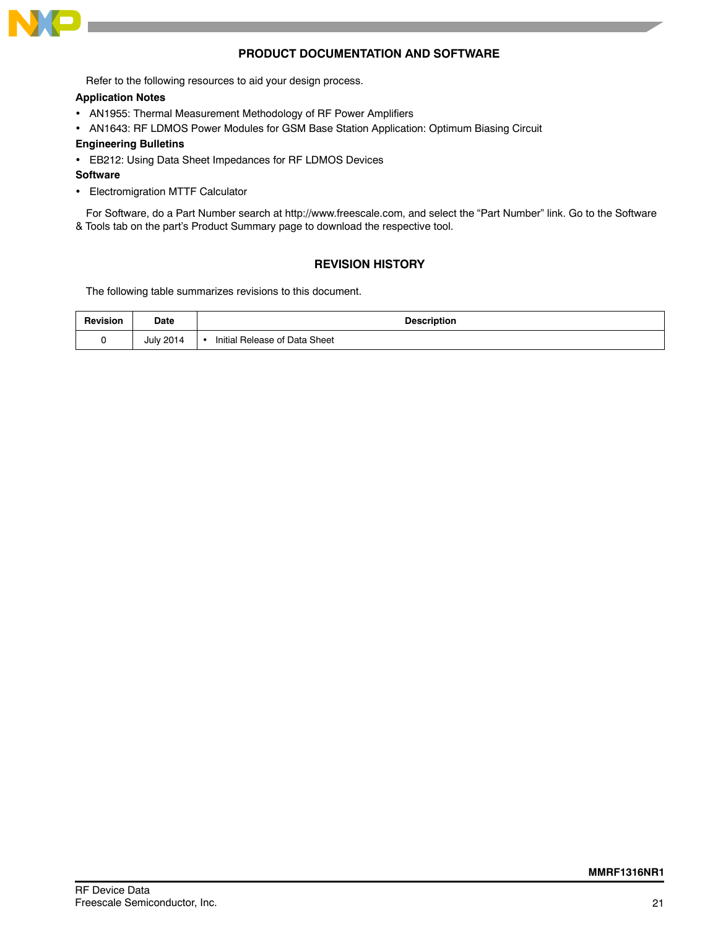

### **PRODUCT DOCUMENTATION AND SOFTWARE**

Refer to the following resources to aid your design process.

### **Application Notes**

- AN1955: Thermal Measurement Methodology of RF Power Amplifiers
- AN1643: RF LDMOS Power Modules for GSM Base Station Application: Optimum Biasing Circuit

### **Engineering Bulletins**

EB212: Using Data Sheet Impedances for RF LDMOS Devices

### **Software**

Electromigration MTTF Calculator

For Software, do a Part Number search at http://www.freescale.com, and select the "Part Number" link. Go to the Software & Tools tab on the part's Product Summary page to download the respective tool.

### **REVISION HISTORY**

The following table summarizes revisions to this document.

| <b>Revision</b> | <b>Date</b>      | <b>Description</b>            |
|-----------------|------------------|-------------------------------|
|                 | <b>July 2014</b> | Initial Release of Data Sheet |